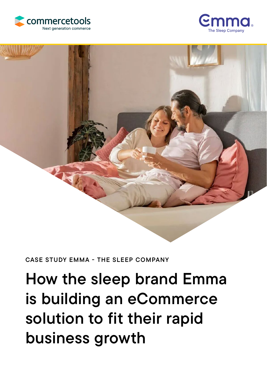



## CASE STUDY EMMA - THE SLEEP COMPANY

# How the sleep brand Emma is building an eCommerce solution to fit their rapid business growth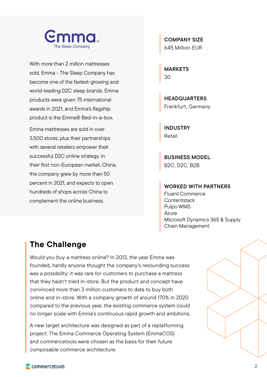

With more than 2 million mattresses sold, Emma - The Sleep Company has become one of the fastest-growing and world-leading D2C sleep brands. Emma products were given 75 international awards in 2021, and Emma's flagship product is the Emma® Bed-in-a-box.

Emma mattresses are sold in over 3,500 stores, plus their partnerships with several retailers empower their successful D2C online strategy. In their first non-European market, China, the company grew by more than 50 percent in 2021, and expects to open hundreds of shops across China to complement the online business.

COMPANY SIZE 645 Million EUR

MARKETS 30

HEADQUARTERS Frankfurt, Germany

INDUSTRY Retail

BUSINESS MODEL B2C, D2C, B2B

#### WORKED WITH PARTNERS

Fluent Commerce **Contentstack** Pulpo WMS Azure Microsoft Dynamics 365 & Supply Chain Management

## The Challenge

Would you buy a mattress online? In 2013, the year Emma was founded, hardly anyone thought the company's resounding success was a possibility; it was rare for customers to purchase a mattress that they hadn't tried in-store. But the product and concept have convinced more than 3 million customers to date to buy both online and in-store. With a company growth of around 170% in 2020 compared to the previous year, the existing commerce system could no longer scale with Emma's continuous rapid growth and ambitions.

A new target architecture was designed as part of a replatforming project: The Emma Commerce Operating System (EmmaCOS) and commercetools were chosen as the basis for their future composable commerce architecture.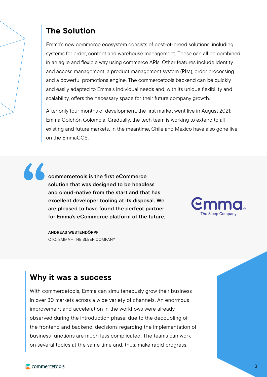# The Solution

Emma's new commerce ecosystem consists of best-of-breed solutions, including systems for order, content and warehouse management. These can all be combined in an agile and flexible way using commerce APIs. Other features include identity and access management, a product management system (PIM), order processing and a powerful promotions engine. The commercetools backend can be quickly and easily adapted to Emma's individual needs and, with its unique flexibility and scalability, offers the necessary space for their future company growth.

After only four months of development, the first market went live in August 2021: Emma Colchón Colombia. Gradually, the tech team is working to extend to all existing and future markets. In the meantime, Chile and Mexico have also gone live on the EmmaCOS.

"

commercetools is the first eCommerce solution that was designed to be headless and cloud-native from the start and that has excellent developer tooling at its disposal. We are pleased to have found the perfect partner for Emma's eCommerce platform of the future.

ANDREAS WESTENDÖRPF CTO, EMMA - THE SLEEP COMPANY



## Why it was a success

With commercetools, Emma can simultaneously grow their business in over 30 markets across a wide variety of channels. An enormous improvement and acceleration in the workflows were already observed during the introduction phase; due to the decoupling of the frontend and backend, decisions regarding the implementation of business functions are much less complicated. The teams can work on several topics at the same time and, thus, make rapid progress.